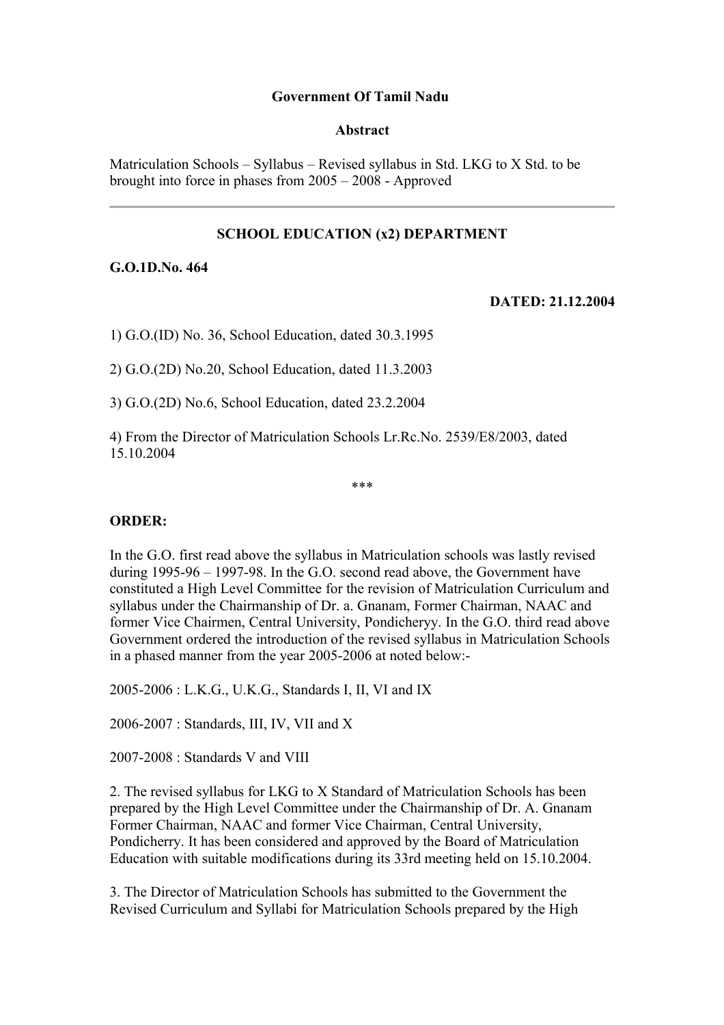## **Government Of Tamil Nadu**

#### **Abstract**

Matriculation Schools – Syllabus – Revised syllabus in Std. LKG to X Std. to be brought into force in phases from 2005 – 2008 - Approved

# **SCHOOL EDUCATION (x2) DEPARTMENT**

## **G.O.1D.No. 464**

### **DATED: 21.12.2004**

1) G.O.(ID) No. 36, School Education, dated 30.3.1995

2) G.O.(2D) No.20, School Education, dated 11.3.2003

3) G.O.(2D) No.6, School Education, dated 23.2.2004

4) From the Director of Matriculation Schools Lr.Rc.No. 2539/E8/2003, dated 15.10.2004

\*\*\*

## **ORDER:**

In the G.O. first read above the syllabus in Matriculation schools was lastly revised during 1995-96 – 1997-98. In the G.O. second read above, the Government have constituted a High Level Committee for the revision of Matriculation Curriculum and syllabus under the Chairmanship of Dr. a. Gnanam, Former Chairman, NAAC and former Vice Chairmen, Central University, Pondicheryy. In the G.O. third read above Government ordered the introduction of the revised syllabus in Matriculation Schools in a phased manner from the year 2005-2006 at noted below:-

2005-2006 : L.K.G., U.K.G., Standards I, II, VI and IX

2006-2007 : Standards, III, IV, VII and X

2007-2008 : Standards V and VIII

2. The revised syllabus for LKG to X Standard of Matriculation Schools has been prepared by the High Level Committee under the Chairmanship of Dr. A. Gnanam Former Chairman, NAAC and former Vice Chairman, Central University, Pondicherry. It has been considered and approved by the Board of Matriculation Education with suitable modifications during its 33rd meeting held on 15.10.2004.

3. The Director of Matriculation Schools has submitted to the Government the Revised Curriculum and Syllabi for Matriculation Schools prepared by the High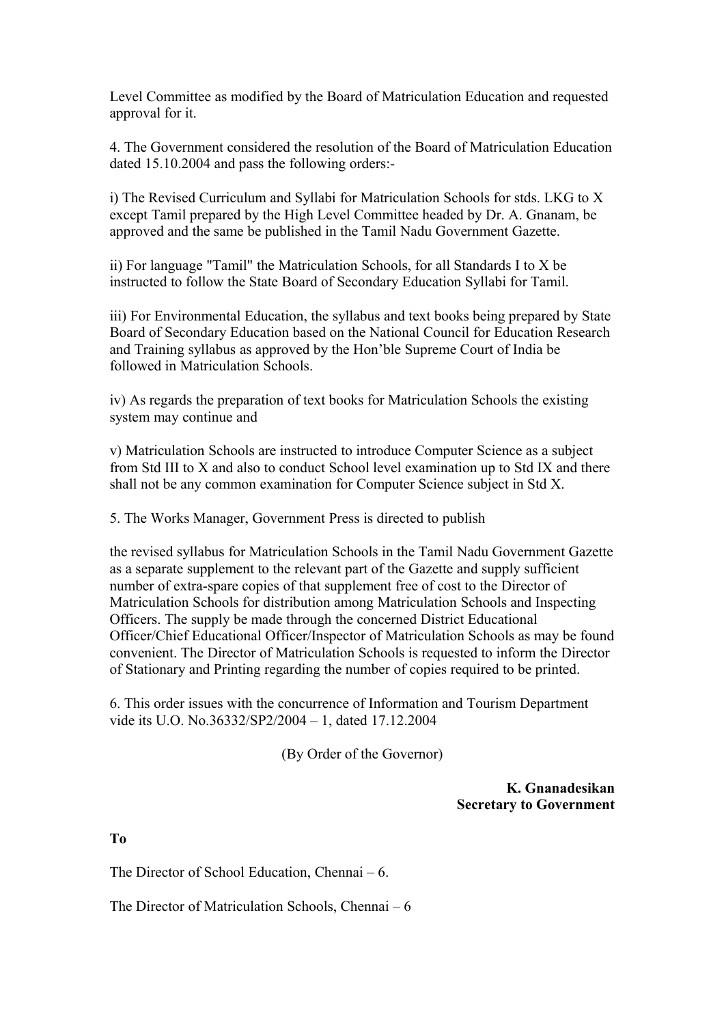Level Committee as modified by the Board of Matriculation Education and requested approval for it.

4. The Government considered the resolution of the Board of Matriculation Education dated 15.10.2004 and pass the following orders:-

i) The Revised Curriculum and Syllabi for Matriculation Schools for stds. LKG to X except Tamil prepared by the High Level Committee headed by Dr. A. Gnanam, be approved and the same be published in the Tamil Nadu Government Gazette.

ii) For language "Tamil" the Matriculation Schools, for all Standards I to X be instructed to follow the State Board of Secondary Education Syllabi for Tamil.

iii) For Environmental Education, the syllabus and text books being prepared by State Board of Secondary Education based on the National Council for Education Research and Training syllabus as approved by the Hon'ble Supreme Court of India be followed in Matriculation Schools.

iv) As regards the preparation of text books for Matriculation Schools the existing system may continue and

v) Matriculation Schools are instructed to introduce Computer Science as a subject from Std III to X and also to conduct School level examination up to Std IX and there shall not be any common examination for Computer Science subject in Std X.

5. The Works Manager, Government Press is directed to publish

the revised syllabus for Matriculation Schools in the Tamil Nadu Government Gazette as a separate supplement to the relevant part of the Gazette and supply sufficient number of extra-spare copies of that supplement free of cost to the Director of Matriculation Schools for distribution among Matriculation Schools and Inspecting Officers. The supply be made through the concerned District Educational Officer/Chief Educational Officer/Inspector of Matriculation Schools as may be found convenient. The Director of Matriculation Schools is requested to inform the Director of Stationary and Printing regarding the number of copies required to be printed.

6. This order issues with the concurrence of Information and Tourism Department vide its U.O. No.36332/SP2/2004 – 1, dated 17.12.2004

(By Order of the Governor)

**K. Gnanadesikan Secretary to Government**

**To**

The Director of School Education, Chennai – 6.

The Director of Matriculation Schools, Chennai – 6